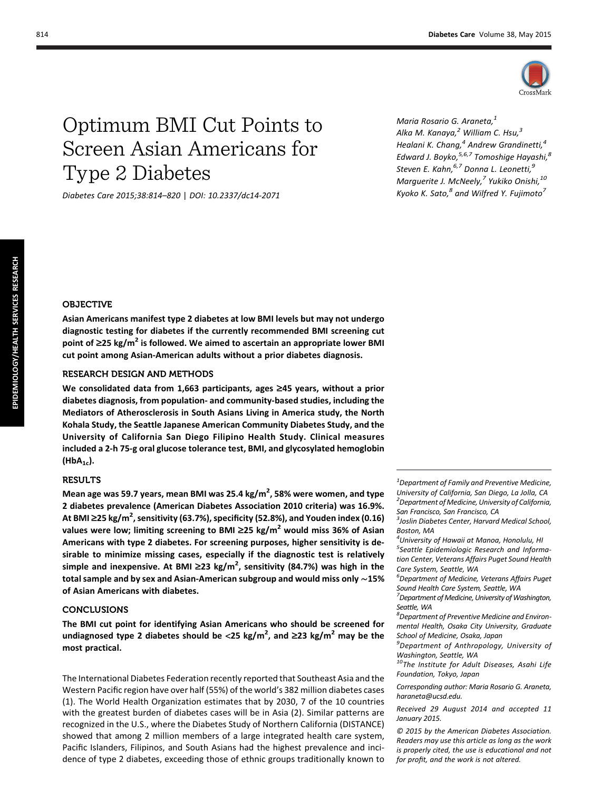

# Optimum BMI Cut Points to Screen Asian Americans for Type 2 Diabetes

Diabetes Care 2015;38:814–820 | DOI: 10.2337/dc14-2071

Maria Rosario G. Araneta,<sup>1</sup> Alka M. Kanaya, $^2$  William C. Hsu, $^3$ Healani K. Chang, $4$  Andrew Grandinetti, $4$ Edward J. Boyko, $5,6,7$  Tomoshige Hayashi, $^8$ Steven E. Kahn, <sup>6,7</sup> Donna L. Leonetti, 9 Marguerite J. McNeely, $^7$  Yukiko Onishi, $^{10}$ Kyoko K. Sato, $^8$  and Wilfred Y. Fujimoto $^7$ 

## OBJECTIVE

Asian Americans manifest type 2 diabetes at low BMI levels but may not undergo diagnostic testing for diabetes if the currently recommended BMI screening cut point of  $\geq$ 25 kg/m<sup>2</sup> is followed. We aimed to ascertain an appropriate lower BMI cut point among Asian-American adults without a prior diabetes diagnosis.

## RESEARCH DESIGN AND METHODS

We consolidated data from 1,663 participants, ages  $\geq$ 45 years, without a prior diabetes diagnosis, from population- and community-based studies, including the Mediators of Atherosclerosis in South Asians Living in America study, the North Kohala Study, the Seattle Japanese American Community Diabetes Study, and the University of California San Diego Filipino Health Study. Clinical measures included a 2-h 75-g oral glucose tolerance test, BMI, and glycosylated hemoglobin  $(HbA_{1c})$ .

## RESULTS

Mean age was 59.7 years, mean BMI was 25.4 kg/m<sup>2</sup>, 58% were women, and type 2 diabetes prevalence (American Diabetes Association 2010 criteria) was 16.9%. At BMI ≥25 kg/m<sup>2</sup>, sensitivity (63.7%), specificity (52.8%), and Youden index (0.16) values were low; limiting screening to BMI  $\geq$ 25 kg/m<sup>2</sup> would miss 36% of Asian Americans with type 2 diabetes. For screening purposes, higher sensitivity is desirable to minimize missing cases, especially if the diagnostic test is relatively simple and inexpensive. At BMI  $\geq$ 23 kg/m<sup>2</sup>, sensitivity (84.7%) was high in the total sample and by sex and Asian-American subgroup and would miss only ∼15% of Asian Americans with diabetes.

### CONCLUSIONS

The BMI cut point for identifying Asian Americans who should be screened for undiagnosed type 2 diabetes should be <25 kg/m<sup>2</sup>, and ≥23 kg/m<sup>2</sup> may be the most practical.

The International Diabetes Federation recently reported that Southeast Asia and the Western Pacific region have over half (55%) of the world's 382 million diabetes cases (1). The World Health Organization estimates that by 2030, 7 of the 10 countries with the greatest burden of diabetes cases will be in Asia (2). Similar patterns are recognized in the U.S., where the Diabetes Study of Northern California (DISTANCE) showed that among 2 million members of a large integrated health care system, Pacific Islanders, Filipinos, and South Asians had the highest prevalence and incidence of type 2 diabetes, exceeding those of ethnic groups traditionally known to

 $1$ Department of Family and Preventive Medicine, University of California, San Diego, La Jolla, CA <sup>2</sup> Department of Medicine, University of California, San Francisco, San Francisco, CA

4 University of Hawaii at Manoa, Honolulu, HI <sup>5</sup>Seattle Epidemiologic Research and Information Center, Veterans Affairs Puget Sound Health Care System, Seattle, WA

6 Department of Medicine, Veterans Affairs Puget Sound Health Care System, Seattle, WA

<sup>7</sup> Department of Medicine, University of Washington, Seattle, WA

8 Department of Preventive Medicine and Environmental Health, Osaka City University, Graduate School of Medicine, Osaka, Japan

9 Department of Anthropology, University of Washington, Seattle, WA

10The Institute for Adult Diseases, Asahi Life Foundation, Tokyo, Japan

Corresponding author: Maria Rosario G. Araneta, [haraneta@ucsd.edu.](mailto:haraneta@ucsd.edu)

Received 29 August 2014 and accepted 11 January 2015.

© 2015 by the American Diabetes Association. Readers may use this article as long as the work is properly cited, the use is educational and not for profit, and the work is not altered.

<sup>&</sup>lt;sup>3</sup>Joslin Diabetes Center, Harvard Medical School, Boston, MA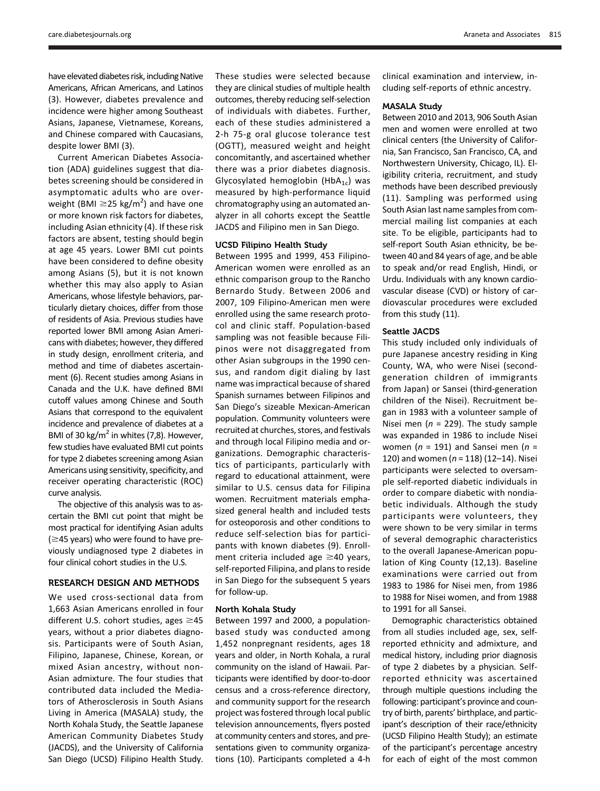have elevated diabetes risk, including Native Americans, African Americans, and Latinos (3). However, diabetes prevalence and incidence were higher among Southeast Asians, Japanese, Vietnamese, Koreans, and Chinese compared with Caucasians, despite lower BMI (3).

Current American Diabetes Association (ADA) guidelines suggest that diabetes screening should be considered in asymptomatic adults who are overweight (BMI  $\geq$ 25 kg/m<sup>2</sup>) and have one or more known risk factors for diabetes, including Asian ethnicity (4). If these risk factors are absent, testing should begin at age 45 years. Lower BMI cut points have been considered to define obesity among Asians (5), but it is not known whether this may also apply to Asian Americans, whose lifestyle behaviors, particularly dietary choices, differ from those of residents of Asia. Previous studies have reported lower BMI among Asian Americans with diabetes; however, they differed in study design, enrollment criteria, and method and time of diabetes ascertainment (6). Recent studies among Asians in Canada and the U.K. have defined BMI cutoff values among Chinese and South Asians that correspond to the equivalent incidence and prevalence of diabetes at a BMI of 30 kg/m<sup>2</sup> in whites (7,8). However, few studies have evaluated BMI cut points for type 2 diabetes screening among Asian Americans using sensitivity, specificity, and receiver operating characteristic (ROC) curve analysis.

The objective of this analysis was to ascertain the BMI cut point that might be most practical for identifying Asian adults  $(\geq 45$  years) who were found to have previously undiagnosed type 2 diabetes in four clinical cohort studies in the U.S.

## RESEARCH DESIGN AND METHODS

We used cross-sectional data from 1,663 Asian Americans enrolled in four different U.S. cohort studies, ages  $\geq$ 45 years, without a prior diabetes diagnosis. Participants were of South Asian, Filipino, Japanese, Chinese, Korean, or mixed Asian ancestry, without non-Asian admixture. The four studies that contributed data included the Mediators of Atherosclerosis in South Asians Living in America (MASALA) study, the North Kohala Study, the Seattle Japanese American Community Diabetes Study (JACDS), and the University of California San Diego (UCSD) Filipino Health Study.

These studies were selected because they are clinical studies of multiple health outcomes, thereby reducing self-selection of individuals with diabetes. Further, each of these studies administered a 2-h 75-g oral glucose tolerance test (OGTT), measured weight and height concomitantly, and ascertained whether there was a prior diabetes diagnosis. Glycosylated hemoglobin (HbA<sub>1c</sub>) was measured by high-performance liquid chromatography using an automated analyzer in all cohorts except the Seattle JACDS and Filipino men in San Diego.

#### UCSD Filipino Health Study

Between 1995 and 1999, 453 Filipino-American women were enrolled as an ethnic comparison group to the Rancho Bernardo Study. Between 2006 and 2007, 109 Filipino-American men were enrolled using the same research protocol and clinic staff. Population-based sampling was not feasible because Filipinos were not disaggregated from other Asian subgroups in the 1990 census, and random digit dialing by last name was impractical because of shared Spanish surnames between Filipinos and San Diego's sizeable Mexican-American population. Community volunteers were recruited at churches, stores, and festivals and through local Filipino media and organizations. Demographic characteristics of participants, particularly with regard to educational attainment, were similar to U.S. census data for Filipina women. Recruitment materials emphasized general health and included tests for osteoporosis and other conditions to reduce self-selection bias for participants with known diabetes (9). Enrollment criteria included age  $\geq$ 40 years, self-reported Filipina, and plans to reside in San Diego for the subsequent 5 years for follow-up.

#### North Kohala Study

Between 1997 and 2000, a populationbased study was conducted among 1,452 nonpregnant residents, ages 18 years and older, in North Kohala, a rural community on the island of Hawaii. Participants were identified by door-to-door census and a cross-reference directory, and community support for the research project was fostered through local public television announcements, flyers posted at community centers and stores, and presentations given to community organizations (10). Participants completed a 4-h clinical examination and interview, including self-reports of ethnic ancestry.

#### MASALA Study

Between 2010 and 2013, 906 South Asian men and women were enrolled at two clinical centers (the University of California, San Francisco, San Francisco, CA, and Northwestern University, Chicago, IL). Eligibility criteria, recruitment, and study methods have been described previously (11). Sampling was performed using South Asian last name samples from commercial mailing list companies at each site. To be eligible, participants had to self-report South Asian ethnicity, be between 40 and 84 years of age, and be able to speak and/or read English, Hindi, or Urdu. Individuals with any known cardiovascular disease (CVD) or history of cardiovascular procedures were excluded from this study (11).

#### Seattle JACDS

This study included only individuals of pure Japanese ancestry residing in King County, WA, who were Nisei (secondgeneration children of immigrants from Japan) or Sansei (third-generation children of the Nisei). Recruitment began in 1983 with a volunteer sample of Nisei men ( $n = 229$ ). The study sample was expanded in 1986 to include Nisei women ( $n = 191$ ) and Sansei men ( $n =$ 120) and women ( $n = 118$ ) (12–14). Nisei participants were selected to oversample self-reported diabetic individuals in order to compare diabetic with nondiabetic individuals. Although the study participants were volunteers, they were shown to be very similar in terms of several demographic characteristics to the overall Japanese-American population of King County (12,13). Baseline examinations were carried out from 1983 to 1986 for Nisei men, from 1986 to 1988 for Nisei women, and from 1988 to 1991 for all Sansei.

Demographic characteristics obtained from all studies included age, sex, selfreported ethnicity and admixture, and medical history, including prior diagnosis of type 2 diabetes by a physician. Selfreported ethnicity was ascertained through multiple questions including the following: participant's province and country of birth, parents' birthplace, and participant's description of their race/ethnicity (UCSD Filipino Health Study); an estimate of the participant's percentage ancestry for each of eight of the most common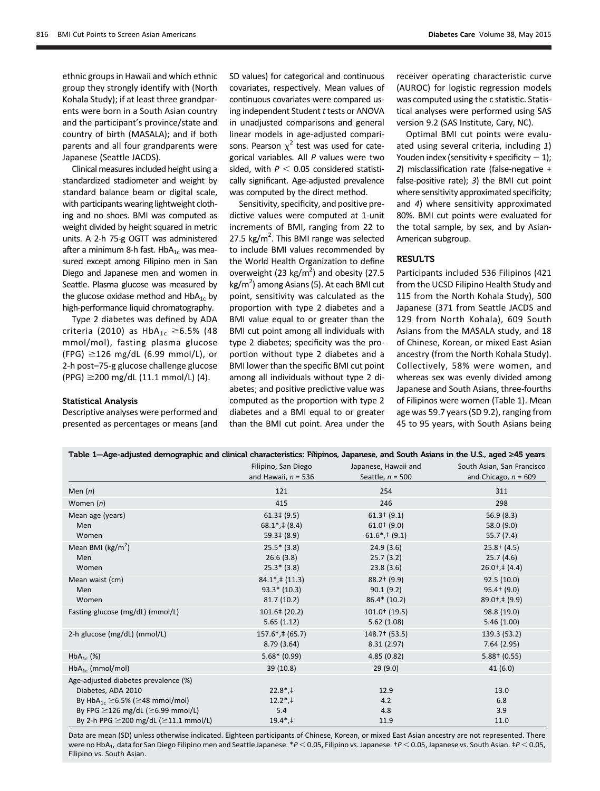ethnic groups in Hawaii and which ethnic group they strongly identify with (North Kohala Study); if at least three grandparents were born in a South Asian country and the participant's province/state and country of birth (MASALA); and if both parents and all four grandparents were Japanese (Seattle JACDS).

Clinical measures included height using a standardized stadiometer and weight by standard balance beam or digital scale, with participants wearing lightweight clothing and no shoes. BMI was computed as weight divided by height squared in metric units. A 2-h 75-g OGTT was administered after a minimum 8-h fast. Hb $A_{1c}$  was measured except among Filipino men in San Diego and Japanese men and women in Seattle. Plasma glucose was measured by the glucose oxidase method and  $HbA_{1c}$  by high-performance liquid chromatography.

Type 2 diabetes was defined by ADA criteria (2010) as  $HbA_{1c} \ge 6.5%$  (48 mmol/mol), fasting plasma glucose  $(FPG) \geq 126$  mg/dL (6.99 mmol/L), or 2-h post–75-g glucose challenge glucose  $(PPG) \ge 200$  mg/dL  $(11.1$  mmol/L)  $(4)$ .

#### Statistical Analysis

Descriptive analyses were performed and presented as percentages or means (and

SD values) for categorical and continuous covariates, respectively. Mean values of continuous covariates were compared using independent Student t tests or ANOVA in unadjusted comparisons and general linear models in age-adjusted comparisons. Pearson  $\chi^2$  test was used for categorical variables. All P values were two sided, with  $P < 0.05$  considered statistically significant. Age-adjusted prevalence was computed by the direct method.

Sensitivity, specificity, and positive predictive values were computed at 1-unit increments of BMI, ranging from 22 to 27.5  $\text{kg/m}^2$ . This BMI range was selected to include BMI values recommended by the World Health Organization to define overweight (23 kg/m<sup>2</sup>) and obesity (27.5 kg/m<sup>2</sup>) among Asians (5). At each BMI cut point, sensitivity was calculated as the proportion with type 2 diabetes and a BMI value equal to or greater than the BMI cut point among all individuals with type 2 diabetes; specificity was the proportion without type 2 diabetes and a BMI lower than the specific BMI cut point among all individuals without type 2 diabetes; and positive predictive value was computed as the proportion with type 2 diabetes and a BMI equal to or greater than the BMI cut point. Area under the

Table 1—Age-adjusted demographic and clinical characteristics: Filipinos, Japanese, and South Asians in the U.S., aged ‡45 years

receiver operating characteristic curve (AUROC) for logistic regression models was computed using the c statistic. Statistical analyses were performed using SAS version 9.2 (SAS Institute, Cary, NC).

Optimal BMI cut points were evaluated using several criteria, including 1) Youden index (sensitivity + specificity  $-1$ ); 2) misclassification rate (false-negative + false-positive rate); 3) the BMI cut point where sensitivity approximated specificity; and 4) where sensitivity approximated 80%. BMI cut points were evaluated for the total sample, by sex, and by Asian-American subgroup.

## **RESULTS**

Participants included 536 Filipinos (421 from the UCSD Filipino Health Study and 115 from the North Kohala Study), 500 Japanese (371 from Seattle JACDS and 129 from North Kohala), 609 South Asians from the MASALA study, and 18 of Chinese, Korean, or mixed East Asian ancestry (from the North Kohala Study). Collectively, 58% were women, and whereas sex was evenly divided among Japanese and South Asians, three-fourths of Filipinos were women (Table 1). Mean age was 59.7 years (SD 9.2), ranging from 45 to 95 years, with South Asians being

| Table 1—Age-adjusted demographic and clinical characteristics: Filipinos, Japanese, and South Asians in the U.S., aged 245 years |                                   |                             |                                    |  |  |  |
|----------------------------------------------------------------------------------------------------------------------------------|-----------------------------------|-----------------------------|------------------------------------|--|--|--|
|                                                                                                                                  | Filipino, San Diego               | Japanese, Hawaii and        | South Asian, San Francisco         |  |  |  |
|                                                                                                                                  | and Hawaii, $n = 536$             | Seattle, $n = 500$          | and Chicago, $n = 609$             |  |  |  |
| Men $(n)$                                                                                                                        | 121                               | 254                         | 311                                |  |  |  |
| Women $(n)$                                                                                                                      | 415                               | 246                         | 298                                |  |  |  |
| Mean age (years)                                                                                                                 | $61.3 \pm (9.5)$                  | $61.3$ $(9.1)$              | 56.9(8.3)                          |  |  |  |
| Men                                                                                                                              | $68.1^*$ , ‡ $(8.4)$              | $61.0$ <sup>t</sup> $(9.0)$ | 58.0 (9.0)                         |  |  |  |
| Women                                                                                                                            | $59.3 \pm (8.9)$                  | $61.6^*$ , † $(9.1)$        | 55.7(7.4)                          |  |  |  |
| Mean BMI ( $\text{kg/m}^2$ )                                                                                                     | $25.5* (3.8)$                     | 24.9(3.6)                   | $25.8 + (4.5)$                     |  |  |  |
| Men                                                                                                                              | 26.6(3.8)                         | 25.7(3.2)                   | 25.7(4.6)                          |  |  |  |
| Women                                                                                                                            | $25.3* (3.8)$                     | 23.8(3.6)                   | $26.0^+$ , ‡ $(4.4)$               |  |  |  |
| Mean waist (cm)                                                                                                                  | $84.1^*$ , ‡ $(11.3)$             | 88.2† (9.9)                 | 92.5(10.0)                         |  |  |  |
| Men                                                                                                                              | $93.3* (10.3)$                    | 90.1(9.2)                   | $95.4$ $(9.0)$                     |  |  |  |
| Women                                                                                                                            | 81.7(10.2)                        | $86.4* (10.2)$              | $89.0$ <sup>+</sup> , $\neq$ (9.9) |  |  |  |
| Fasting glucose (mg/dL) (mmol/L)                                                                                                 | $101.6 \pm (20.2)$                | 101.0+ (19.5)               | 98.8 (19.0)                        |  |  |  |
|                                                                                                                                  | 5.65(1.12)                        | 5.62(1.08)                  | 5.46(1.00)                         |  |  |  |
| 2-h glucose (mg/dL) (mmol/L)                                                                                                     | $157.6$ <sup>*</sup> , ‡ $(65.7)$ | 148.7† (53.5)               | 139.3 (53.2)                       |  |  |  |
|                                                                                                                                  | 8.79(3.64)                        | 8.31(2.97)                  | 7.64(2.95)                         |  |  |  |
| $HbA_{1c}$ (%)                                                                                                                   | $5.68*(0.99)$                     | 4.85(0.82)                  | $5.88+$ (0.55)                     |  |  |  |
| $HbA_{1c}$ (mmol/mol)                                                                                                            | 39 (10.8)                         | 29(9.0)                     | 41(6.0)                            |  |  |  |
| Age-adjusted diabetes prevalence (%)                                                                                             |                                   |                             |                                    |  |  |  |
| Diabetes, ADA 2010                                                                                                               | $22.8^*$ , ‡                      | 12.9                        | 13.0                               |  |  |  |
| By $HbA_{1c} \ge 6.5\%$ ( $\ge 48$ mmol/mol)                                                                                     | $12.2^*$ , ‡                      | 4.2                         | 6.8                                |  |  |  |
| By FPG $\geq$ 126 mg/dL ( $\geq$ 6.99 mmol/L)                                                                                    | 5.4                               | 4.8                         | 3.9                                |  |  |  |
| By 2-h PPG ≥200 mg/dL (≥11.1 mmol/L)                                                                                             | $19.4^*$ , ‡                      | 11.9                        | 11.0                               |  |  |  |

Data are mean (SD) unless otherwise indicated. Eighteen participants of Chinese, Korean, or mixed East Asian ancestry are not represented. There were no HbA<sub>1c</sub> data for San Diego Filipino men and Seattle Japanese. \*P < 0.05, Filipino vs. Japanese. †P < 0.05, Japanese vs. South Asian. ‡P < 0.05, Filipino vs. South Asian.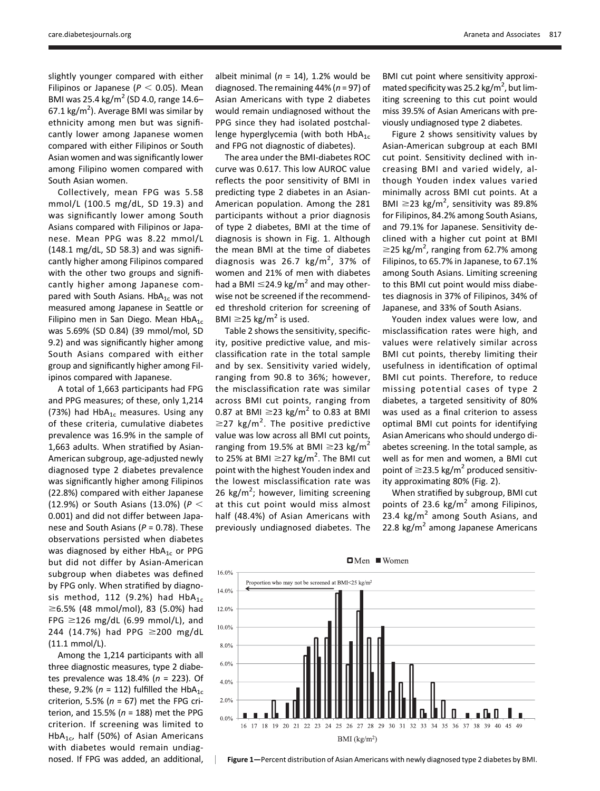slightly younger compared with either Filipinos or Japanese ( $P < 0.05$ ). Mean BMI was 25.4 kg/m<sup>2</sup> (SD 4.0, range 14.6–  $67.1 \text{ kg/m}^2$ ). Average BMI was similar by ethnicity among men but was significantly lower among Japanese women compared with either Filipinos or South Asian women and was significantly lower among Filipino women compared with South Asian women.

Collectively, mean FPG was 5.58 mmol/L (100.5 mg/dL, SD 19.3) and was significantly lower among South Asians compared with Filipinos or Japanese. Mean PPG was 8.22 mmol/L (148.1 mg/dL, SD 58.3) and was significantly higher among Filipinos compared with the other two groups and significantly higher among Japanese compared with South Asians.  $HbA_{1c}$  was not measured among Japanese in Seattle or Filipino men in San Diego. Mean  $HbA_{1c}$ was 5.69% (SD 0.84) (39 mmol/mol, SD 9.2) and was significantly higher among South Asians compared with either group and significantly higher among Filipinos compared with Japanese.

A total of 1,663 participants had FPG and PPG measures; of these, only 1,214 (73%) had  $HbA_{1c}$  measures. Using any of these criteria, cumulative diabetes prevalence was 16.9% in the sample of 1,663 adults. When stratified by Asian-American subgroup, age-adjusted newly diagnosed type 2 diabetes prevalence was significantly higher among Filipinos (22.8%) compared with either Japanese (12.9%) or South Asians (13.0%) ( $P <$ 0.001) and did not differ between Japanese and South Asians ( $P = 0.78$ ). These observations persisted when diabetes was diagnosed by either  $HbA_{1c}$  or PPG but did not differ by Asian-American subgroup when diabetes was defined by FPG only. When stratified by diagnosis method, 112 (9.2%) had  $HbA_{1c}$  $\geq$ 6.5% (48 mmol/mol), 83 (5.0%) had FPG  $\geq$ 126 mg/dL (6.99 mmol/L), and 244 (14.7%) had PPG  $\geq$ 200 mg/dL (11.1 mmol/L).

Among the 1,214 participants with all three diagnostic measures, type 2 diabetes prevalence was 18.4% ( $n = 223$ ). Of these, 9.2% ( $n = 112$ ) fulfilled the HbA<sub>1c</sub> criterion, 5.5% ( $n = 67$ ) met the FPG criterion, and 15.5% ( $n = 188$ ) met the PPG criterion. If screening was limited to HbA<sub>1c</sub>, half (50%) of Asian Americans with diabetes would remain undiagnosed. If FPG was added, an additional,

albeit minimal ( $n = 14$ ), 1.2% would be diagnosed. The remaining  $44\%$  ( $n = 97$ ) of Asian Americans with type 2 diabetes would remain undiagnosed without the PPG since they had isolated postchallenge hyperglycemia (with both  $HbA_{1c}$ and FPG not diagnostic of diabetes).

The area under the BMI-diabetes ROC curve was 0.617. This low AUROC value reflects the poor sensitivity of BMI in predicting type 2 diabetes in an Asian-American population. Among the 281 participants without a prior diagnosis of type 2 diabetes, BMI at the time of diagnosis is shown in Fig. 1. Although the mean BMI at the time of diabetes diagnosis was 26.7 kg/m<sup>2</sup>, 37% of women and 21% of men with diabetes had a BMI  $\leq$ 24.9 kg/m<sup>2</sup> and may otherwise not be screened if the recommended threshold criterion for screening of BMI  $\geq$ 25 kg/m<sup>2</sup> is used.

Table 2 shows the sensitivity, specificity, positive predictive value, and misclassification rate in the total sample and by sex. Sensitivity varied widely, ranging from 90.8 to 36%; however, the misclassification rate was similar across BMI cut points, ranging from 0.87 at BMI  $\geq$ 23 kg/m<sup>2</sup> to 0.83 at BMI  $\geq$ 27 kg/m<sup>2</sup>. The positive predictive value was low across all BMI cut points, ranging from 19.5% at BMI  $\geq$ 23 kg/m<sup>2</sup> to 25% at BMI  $\geq$ 27 kg/m<sup>2</sup>. The BMI cut point with the highest Youden index and the lowest misclassification rate was 26 kg/m<sup>2</sup>; however, limiting screening at this cut point would miss almost half (48.4%) of Asian Americans with previously undiagnosed diabetes. The

BMI cut point where sensitivity approximated specificity was 25.2 kg/m<sup>2</sup>, but limiting screening to this cut point would miss 39.5% of Asian Americans with previously undiagnosed type 2 diabetes.

Figure 2 shows sensitivity values by Asian-American subgroup at each BMI cut point. Sensitivity declined with increasing BMI and varied widely, although Youden index values varied minimally across BMI cut points. At a BMI  $\geq$ 23 kg/m<sup>2</sup>, sensitivity was 89.8% for Filipinos, 84.2% among South Asians, and 79.1% for Japanese. Sensitivity declined with a higher cut point at BMI  $\geq$ 25 kg/m<sup>2</sup>, ranging from 62.7% among Filipinos, to 65.7% in Japanese, to 67.1% among South Asians. Limiting screening to this BMI cut point would miss diabetes diagnosis in 37% of Filipinos, 34% of Japanese, and 33% of South Asians.

Youden index values were low, and misclassification rates were high, and values were relatively similar across BMI cut points, thereby limiting their usefulness in identification of optimal BMI cut points. Therefore, to reduce missing potential cases of type 2 diabetes, a targeted sensitivity of 80% was used as a final criterion to assess optimal BMI cut points for identifying Asian Americans who should undergo diabetes screening. In the total sample, as well as for men and women, a BMI cut point of  $\geq$ 23.5 kg/m<sup>2</sup> produced sensitivity approximating 80% (Fig. 2).

When stratified by subgroup, BMI cut points of 23.6 kg/ $m^2$  among Filipinos, 23.4 kg/ $m^2$  among South Asians, and 22.8 kg/m<sup>2</sup> among Japanese Americans



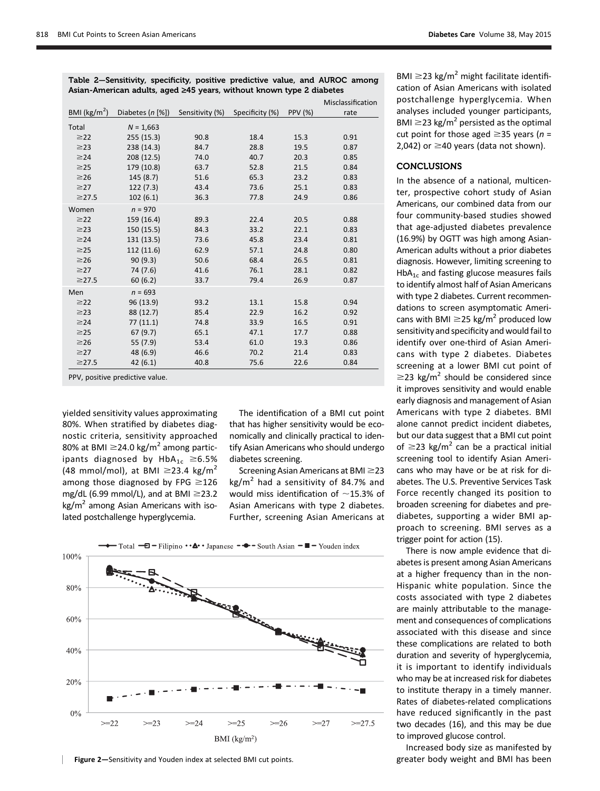Table 2—Sensitivity, specificity, positive predictive value, and AUROC among Asian-American adults, aged ‡45 years, without known type 2 diabetes

|                         |                        |                 |                 |                | Misclassification |
|-------------------------|------------------------|-----------------|-----------------|----------------|-------------------|
| BMI ( $\text{kg/m}^2$ ) | Diabetes $(n \, [\%])$ | Sensitivity (%) | Specificity (%) | <b>PPV (%)</b> | rate              |
| Total                   | $N = 1,663$            |                 |                 |                |                   |
| $\geq$ 22               | 255 (15.3)             | 90.8            | 18.4            | 15.3           | 0.91              |
| $\geq$ 23               | 238 (14.3)             | 84.7            | 28.8            | 19.5           | 0.87              |
| $\geq$ 24               | 208 (12.5)             | 74.0            | 40.7            | 20.3           | 0.85              |
| $\geq$ 25               | 179 (10.8)             | 63.7            | 52.8            | 21.5           | 0.84              |
| $\geq$ 26               | 145(8.7)               | 51.6            | 65.3            | 23.2           | 0.83              |
| $\geq$ 27               | 122(7.3)               | 43.4            | 73.6            | 25.1           | 0.83              |
| $\geq$ 27.5             | 102(6.1)               | 36.3            | 77.8            | 24.9           | 0.86              |
| Women                   | $n = 970$              |                 |                 |                |                   |
| $\geq$ 22               | 159 (16.4)             | 89.3            | 22.4            | 20.5           | 0.88              |
| $\geq$ 23               | 150 (15.5)             | 84.3            | 33.2            | 22.1           | 0.83              |
| $\geq$ 24               | 131 (13.5)             | 73.6            | 45.8            | 23.4           | 0.81              |
| $\geq$ 25               | 112 (11.6)             | 62.9            | 57.1            | 24.8           | 0.80              |
| $\geq$ 26               | 90(9.3)                | 50.6            | 68.4            | 26.5           | 0.81              |
| $\geq$ 27               | 74 (7.6)               | 41.6            | 76.1            | 28.1           | 0.82              |
| $\geq$ 27.5             | 60(6.2)                | 33.7            | 79.4            | 26.9           | 0.87              |
| Men                     | $n = 693$              |                 |                 |                |                   |
| $\geq$ 22               | 96 (13.9)              | 93.2            | 13.1            | 15.8           | 0.94              |
| $\geq$ 23               | 88 (12.7)              | 85.4            | 22.9            | 16.2           | 0.92              |
| $\geq$ 24               | 77(11.1)               | 74.8            | 33.9            | 16.5           | 0.91              |
| $\geq$ 25               | 67(9.7)                | 65.1            | 47.1            | 17.7           | 0.88              |
| $\geq$ 26               | 55 (7.9)               | 53.4            | 61.0            | 19.3           | 0.86              |
| $\geq$ 27               | 48 (6.9)               | 46.6            | 70.2            | 21.4           | 0.83              |
| $\geq$ 27.5             | 42 (6.1)               | 40.8            | 75.6            | 22.6           | 0.84              |

PPV, positive predictive value.

yielded sensitivity values approximating 80%. When stratified by diabetes diagnostic criteria, sensitivity approached 80% at BMI  $\geq$ 24.0 kg/m<sup>2</sup> among participants diagnosed by  $HbA_{1c} \ge 6.5%$ (48 mmol/mol), at BMI  $\geq$ 23.4 kg/m<sup>2</sup> among those diagnosed by FPG  $\geq$ 126 mg/dL (6.99 mmol/L), and at BMI  $\geq$ 23.2  $kg/m<sup>2</sup>$  among Asian Americans with isolated postchallenge hyperglycemia.

The identification of a BMI cut point that has higher sensitivity would be economically and clinically practical to identify Asian Americans who should undergo diabetes screening.

Screening Asian Americans at BMI $\geq$ 23  $kg/m<sup>2</sup>$  had a sensitivity of 84.7% and would miss identification of  $\sim$ 15.3% of Asian Americans with type 2 diabetes. Further, screening Asian Americans at



BMI  $\geq$ 23 kg/m<sup>2</sup> might facilitate identification of Asian Americans with isolated postchallenge hyperglycemia. When analyses included younger participants, BMI  $\geq$ 23 kg/m<sup>2</sup> persisted as the optimal cut point for those aged  $\geq$ 35 years (n = 2,042) or  $\geq$ 40 years (data not shown).

#### **CONCLUSIONS**

In the absence of a national, multicenter, prospective cohort study of Asian Americans, our combined data from our four community-based studies showed that age-adjusted diabetes prevalence (16.9%) by OGTT was high among Asian-American adults without a prior diabetes diagnosis. However, limiting screening to  $HbA_{1c}$  and fasting glucose measures fails to identify almost half of Asian Americans with type 2 diabetes. Current recommendations to screen asymptomatic Americans with BMI  $\geq$ 25 kg/m<sup>2</sup> produced low sensitivity and specificity and would fail to identify over one-third of Asian Americans with type 2 diabetes. Diabetes screening at a lower BMI cut point of  $\geq$ 23 kg/m<sup>2</sup> should be considered since it improves sensitivity and would enable early diagnosis and management of Asian Americans with type 2 diabetes. BMI alone cannot predict incident diabetes, but our data suggest that a BMI cut point of  $\geq$ 23 kg/m<sup>2</sup> can be a practical initial screening tool to identify Asian Americans who may have or be at risk for diabetes. The U.S. Preventive Services Task Force recently changed its position to broaden screening for diabetes and prediabetes, supporting a wider BMI approach to screening. BMI serves as a trigger point for action (15).

There is now ample evidence that diabetes is present among Asian Americans at a higher frequency than in the non-Hispanic white population. Since the costs associated with type 2 diabetes are mainly attributable to the management and consequences of complications associated with this disease and since these complications are related to both duration and severity of hyperglycemia, it is important to identify individuals who may be at increased risk for diabetes to institute therapy in a timely manner. Rates of diabetes-related complications have reduced significantly in the past two decades (16), and this may be due to improved glucose control.

Increased body size as manifested by greater body weight and BMI has been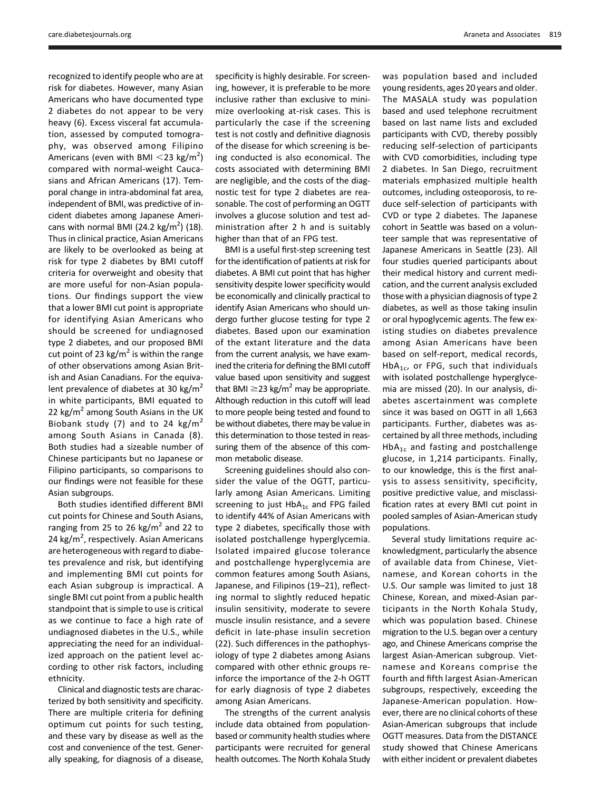recognized to identify people who are at risk for diabetes. However, many Asian Americans who have documented type 2 diabetes do not appear to be very heavy (6). Excess visceral fat accumulation, assessed by computed tomography, was observed among Filipino Americans (even with BMI  $\leq$ 23 kg/m<sup>2</sup>) compared with normal-weight Caucasians and African Americans (17). Temporal change in intra-abdominal fat area, independent of BMI, was predictive of incident diabetes among Japanese Americans with normal BMI  $(24.2 \text{ kg/m}^2)$   $(18)$ . Thus in clinical practice, Asian Americans are likely to be overlooked as being at risk for type 2 diabetes by BMI cutoff criteria for overweight and obesity that are more useful for non-Asian populations. Our findings support the view that a lower BMI cut point is appropriate for identifying Asian Americans who should be screened for undiagnosed type 2 diabetes, and our proposed BMI cut point of 23 kg/ $m^2$  is within the range of other observations among Asian British and Asian Canadians. For the equivalent prevalence of diabetes at 30 kg/ $m<sup>2</sup>$ in white participants, BMI equated to 22 kg/m<sup>2</sup> among South Asians in the UK Biobank study (7) and to 24 kg/m<sup>2</sup> among South Asians in Canada (8). Both studies had a sizeable number of Chinese participants but no Japanese or Filipino participants, so comparisons to our findings were not feasible for these Asian subgroups.

Both studies identified different BMI cut points for Chinese and South Asians, ranging from 25 to 26 kg/ $m^2$  and 22 to 24 kg/m<sup>2</sup>, respectively. Asian Americans are heterogeneous with regard to diabetes prevalence and risk, but identifying and implementing BMI cut points for each Asian subgroup is impractical. A single BMI cut point from a public health standpoint that is simple to use is critical as we continue to face a high rate of undiagnosed diabetes in the U.S., while appreciating the need for an individualized approach on the patient level according to other risk factors, including ethnicity.

Clinical and diagnostic tests are characterized by both sensitivity and specificity. There are multiple criteria for defining optimum cut points for such testing, and these vary by disease as well as the cost and convenience of the test. Generally speaking, for diagnosis of a disease, specificity is highly desirable. For screening, however, it is preferable to be more inclusive rather than exclusive to minimize overlooking at-risk cases. This is particularly the case if the screening test is not costly and definitive diagnosis of the disease for which screening is being conducted is also economical. The costs associated with determining BMI are negligible, and the costs of the diagnostic test for type 2 diabetes are reasonable. The cost of performing an OGTT involves a glucose solution and test administration after 2 h and is suitably higher than that of an FPG test.

BMI is a useful first-step screening test for the identification of patients at risk for diabetes. A BMI cut point that has higher sensitivity despite lower specificity would be economically and clinically practical to identify Asian Americans who should undergo further glucose testing for type 2 diabetes. Based upon our examination of the extant literature and the data from the current analysis, we have examined the criteria for defining the BMI cutoff value based upon sensitivity and suggest that BMI  $\geq$ 23 kg/m<sup>2</sup> may be appropriate. Although reduction in this cutoff will lead to more people being tested and found to be without diabetes, there may be value in this determination to those tested in reassuring them of the absence of this common metabolic disease.

Screening guidelines should also consider the value of the OGTT, particularly among Asian Americans. Limiting screening to just  $HbA_{1c}$  and FPG failed to identify 44% of Asian Americans with type 2 diabetes, specifically those with isolated postchallenge hyperglycemia. Isolated impaired glucose tolerance and postchallenge hyperglycemia are common features among South Asians, Japanese, and Filipinos (19–21), reflecting normal to slightly reduced hepatic insulin sensitivity, moderate to severe muscle insulin resistance, and a severe deficit in late-phase insulin secretion (22). Such differences in the pathophysiology of type 2 diabetes among Asians compared with other ethnic groups reinforce the importance of the 2-h OGTT for early diagnosis of type 2 diabetes among Asian Americans.

The strengths of the current analysis include data obtained from populationbased or community health studies where participants were recruited for general health outcomes. The North Kohala Study

was population based and included young residents, ages 20 years and older. The MASALA study was population based and used telephone recruitment based on last name lists and excluded participants with CVD, thereby possibly reducing self-selection of participants with CVD comorbidities, including type 2 diabetes. In San Diego, recruitment materials emphasized multiple health outcomes, including osteoporosis, to reduce self-selection of participants with CVD or type 2 diabetes. The Japanese cohort in Seattle was based on a volunteer sample that was representative of Japanese Americans in Seattle (23). All four studies queried participants about their medical history and current medication, and the current analysis excluded those with a physician diagnosis of type 2 diabetes, as well as those taking insulin or oral hypoglycemic agents. The few existing studies on diabetes prevalence among Asian Americans have been based on self-report, medical records,  $HbA_{1c}$ , or FPG, such that individuals with isolated postchallenge hyperglycemia are missed (20). In our analysis, diabetes ascertainment was complete since it was based on OGTT in all 1,663 participants. Further, diabetes was ascertained by all three methods, including  $HbA_{1c}$  and fasting and postchallenge glucose, in 1,214 participants. Finally, to our knowledge, this is the first analysis to assess sensitivity, specificity, positive predictive value, and misclassification rates at every BMI cut point in pooled samples of Asian-American study populations.

Several study limitations require acknowledgment, particularly the absence of available data from Chinese, Vietnamese, and Korean cohorts in the U.S. Our sample was limited to just 18 Chinese, Korean, and mixed-Asian participants in the North Kohala Study, which was population based. Chinese migration to the U.S. began over a century ago, and Chinese Americans comprise the largest Asian-American subgroup. Vietnamese and Koreans comprise the fourth and fifth largest Asian-American subgroups, respectively, exceeding the Japanese-American population. However, there are no clinical cohorts of these Asian-American subgroups that include OGTT measures. Data from the DISTANCE study showed that Chinese Americans with either incident or prevalent diabetes